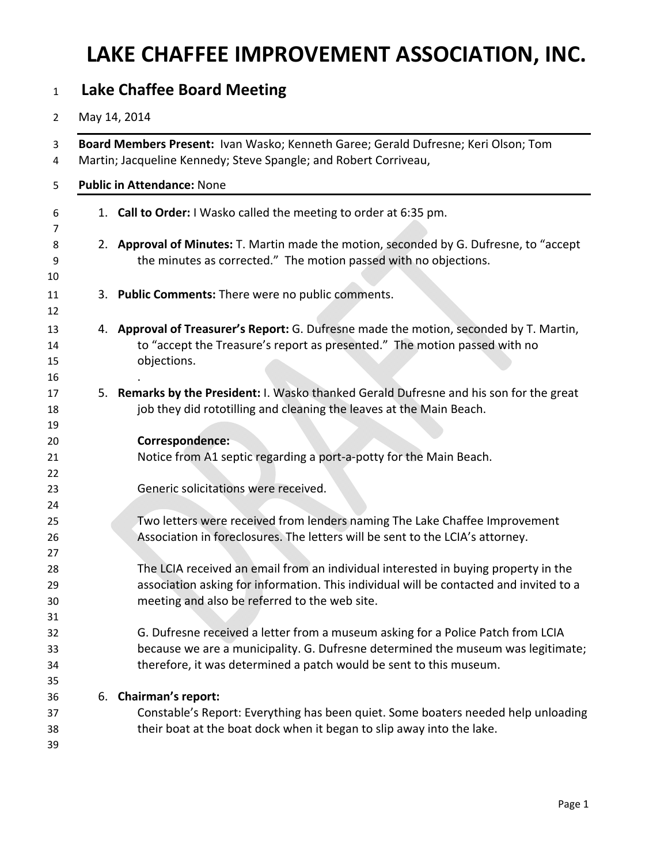## **LAKE CHAFFEE IMPROVEMENT ASSOCIATION, INC.**

### **Lake Chaffee Board Meeting**

#### May 14, 2014

|    | Board Members Present: Ivan Wasko; Kenneth Garee; Gerald Dufresne; Keri Olson; Tom<br>Martin; Jacqueline Kennedy; Steve Spangle; and Robert Corriveau,<br><b>Public in Attendance: None</b>                                               |
|----|-------------------------------------------------------------------------------------------------------------------------------------------------------------------------------------------------------------------------------------------|
|    | 1. Call to Order: I Wasko called the meeting to order at 6:35 pm.                                                                                                                                                                         |
|    | 2. Approval of Minutes: T. Martin made the motion, seconded by G. Dufresne, to "accept<br>the minutes as corrected." The motion passed with no objections.                                                                                |
|    | 3. Public Comments: There were no public comments.                                                                                                                                                                                        |
|    | 4. Approval of Treasurer's Report: G. Dufresne made the motion, seconded by T. Martin,<br>to "accept the Treasure's report as presented." The motion passed with no<br>objections.                                                        |
|    | 5. Remarks by the President: I. Wasko thanked Gerald Dufresne and his son for the great<br>job they did rototilling and cleaning the leaves at the Main Beach.                                                                            |
|    | Correspondence:<br>Notice from A1 septic regarding a port-a-potty for the Main Beach.                                                                                                                                                     |
|    | Generic solicitations were received.                                                                                                                                                                                                      |
|    | Two letters were received from lenders naming The Lake Chaffee Improvement<br>Association in foreclosures. The letters will be sent to the LCIA's attorney.                                                                               |
|    | The LCIA received an email from an individual interested in buying property in the<br>association asking for information. This individual will be contacted and invited to a<br>meeting and also be referred to the web site.             |
|    | G. Dufresne received a letter from a museum asking for a Police Patch from LCIA<br>because we are a municipality. G. Dufresne determined the museum was legitimate;<br>therefore, it was determined a patch would be sent to this museum. |
| 6. | <b>Chairman's report:</b><br>Constable's Report: Everything has been quiet. Some boaters needed help unloading<br>their boat at the boat dock when it began to slip away into the lake.                                                   |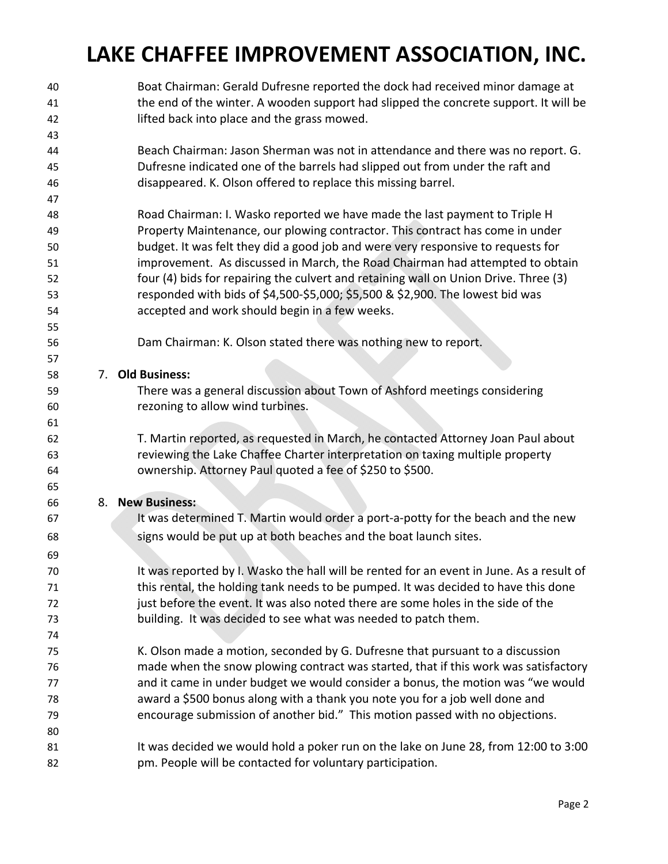# **LAKE CHAFFEE IMPROVEMENT ASSOCIATION, INC.**

 Boat Chairman: Gerald Dufresne reported the dock had received minor damage at the end of the winter. A wooden support had slipped the concrete support. It will be lifted back into place and the grass mowed. Beach Chairman: Jason Sherman was not in attendance and there was no report. G. Dufresne indicated one of the barrels had slipped out from under the raft and disappeared. K. Olson offered to replace this missing barrel. Road Chairman: I. Wasko reported we have made the last payment to Triple H Property Maintenance, our plowing contractor. This contract has come in under budget. It was felt they did a good job and were very responsive to requests for improvement. As discussed in March, the Road Chairman had attempted to obtain four (4) bids for repairing the culvert and retaining wall on Union Drive. Three (3) responded with bids of \$4,500‐\$5,000; \$5,500 & \$2,900. The lowest bid was accepted and work should begin in a few weeks. Dam Chairman: K. Olson stated there was nothing new to report. 7. **Old Business:** There was a general discussion about Town of Ashford meetings considering rezoning to allow wind turbines. T. Martin reported, as requested in March, he contacted Attorney Joan Paul about reviewing the Lake Chaffee Charter interpretation on taxing multiple property ownership. Attorney Paul quoted a fee of \$250 to \$500. 8. **New Business:** It was determined T. Martin would order a port‐a‐potty for the beach and the new signs would be put up at both beaches and the boat launch sites. It was reported by I. Wasko the hall will be rented for an event in June. As a result of this rental, the holding tank needs to be pumped. It was decided to have this done just before the event. It was also noted there are some holes in the side of the building. It was decided to see what was needed to patch them. K. Olson made a motion, seconded by G. Dufresne that pursuant to a discussion made when the snow plowing contract was started, that if this work was satisfactory and it came in under budget we would consider a bonus, the motion was "we would award a \$500 bonus along with a thank you note you for a job well done and encourage submission of another bid." This motion passed with no objections. 81 It was decided we would hold a poker run on the lake on June 28, from 12:00 to 3:00 pm. People will be contacted for voluntary participation.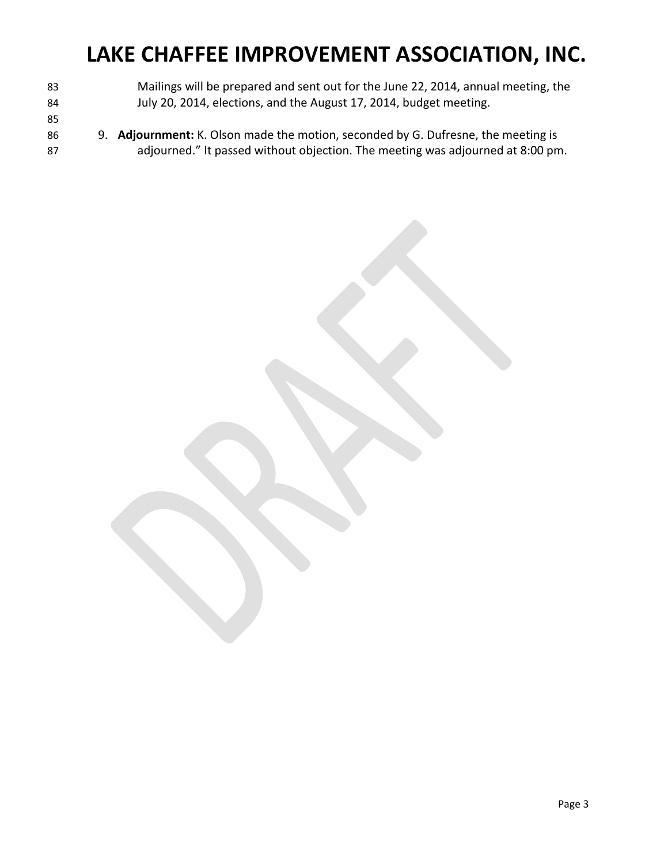## **LAKE CHAFFEE IMPROVEMENT ASSOCIATION, INC.**

- Mailings will be prepared and sent out for the June 22, 2014, annual meeting, the July 20, 2014, elections, and the August 17, 2014, budget meeting.
- 
- 9. **Adjournment:** K. Olson made the motion, seconded by G. Dufresne, the meeting is adjourned." It passed without objection. The meeting was adjourned at 8:00 pm.